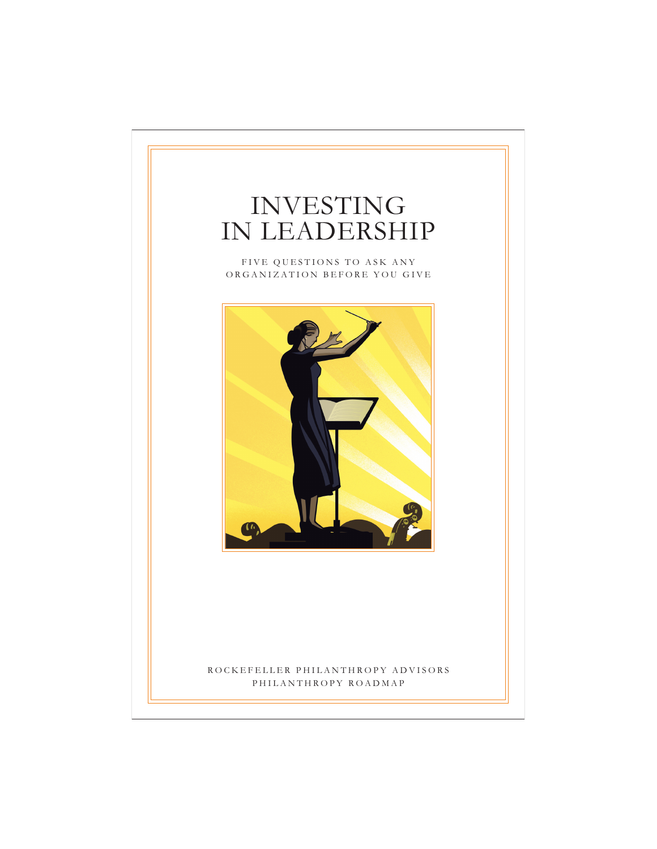# INVESTING IN LEADERSHIP

FIVE QUESTIONS TO ASK ANY ORGANIZATION BEFORE YOU GIVE



## ROCKEFELLER PHILANTHROPY ADVISORS PHILANTHROPY ROADMAP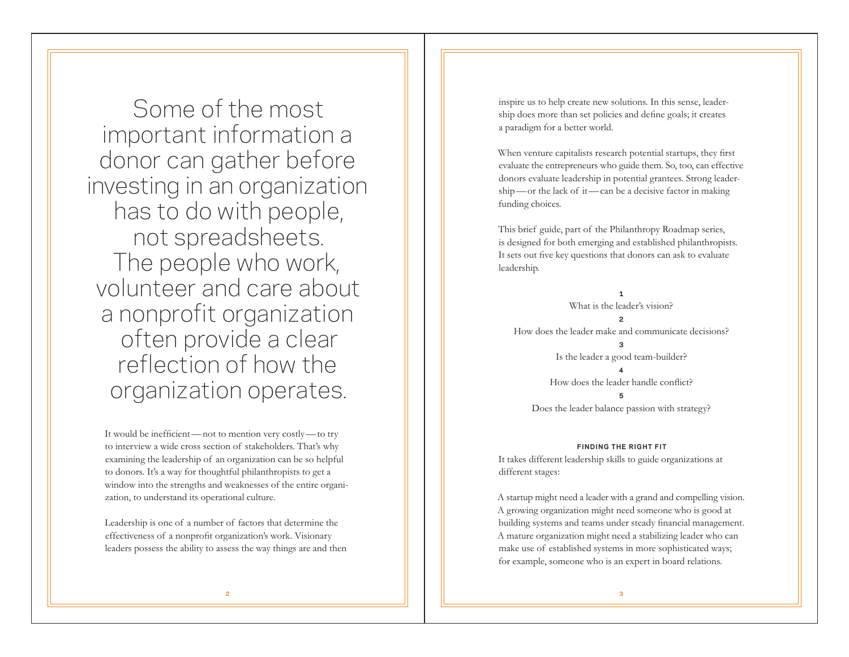Some of the most important information a donor can gather before investing in an organization has to do with people, not spreadsheets. The people who work, volunteer and care about a nonprofit organization often provide a clear reflection of how the organization operates.

It would be inefficient —not to mention very costly —to try to interview a wide cross section of stakeholders. That's why examining the leadership of an organization can be so helpful to donors. It's a way for thoughtful philanthropists to get a window into the strengths and weaknesses of the entire organization, to understand its operational culture.

Leadership is one of a number of factors that determine the effectiveness of a nonprofit organization's work. Visionary leaders possess the ability to assess the way things are and then inspire us to help create new solutions. In this sense, leadership does more than set policies and define goals; it creates a paradigm for a better world.

When venture capitalists research potential startups, they first evaluate the entrepreneurs who guide them. So, too, can effective donors evaluate leadership in potential grantees. Strong leadership —or the lack of it —can be a decisive factor in making funding choices.

This brief guide, part of the Philanthropy Roadmap series, is designed for both emerging and established philanthropists. It sets out five key questions that donors can ask to evaluate leadership.

**1** What is the leader's vision? **2** How does the leader make and communicate decisions? Is the leader a good team-builder? **4**

How does the leader handle conflict?

**5** Does the leader balance passion with strategy?

#### **FINDING THE RIGHT FIT**

It takes different leadership skills to guide organizations at different stages:

A startup might need a leader with a grand and compelling vision. A growing organization might need someone who is good at building systems and teams under steady financial management. A mature organization might need a stabilizing leader who can make use of established systems in more sophisticated ways; for example, someone who is an expert in board relations.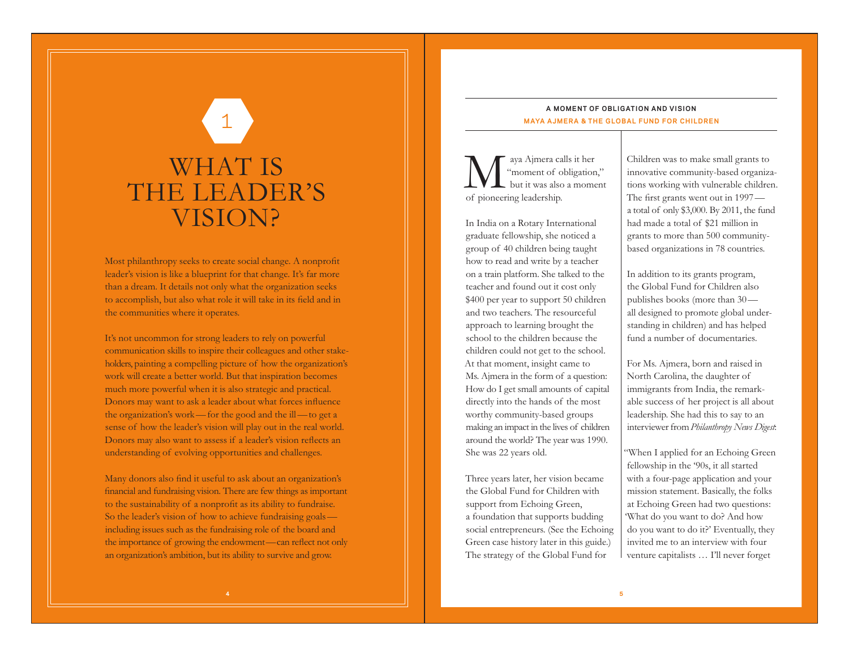# WHAT IS THE LEADER'S VISION?

1

Most philanthropy seeks to create social change. A nonprofit leader's vision is like a blueprint for that change. It's far more than a dream. It details not only what the organization seeks to accomplish, but also what role it will take in its field and in the communities where it operates.

It's not uncommon for strong leaders to rely on powerful communication skills to inspire their colleagues and other stakeholders, painting a compelling picture of how the organization's work will create a better world. But that inspiration becomes much more powerful when it is also strategic and practical. Donors may want to ask a leader about what forces influence the organization's work—for the good and the ill—to get a sense of how the leader's vision will play out in the real world. Donors may also want to assess if a leader's vision reflects an understanding of evolving opportunities and challenges.

Many donors also find it useful to ask about an organization's financial and fundraising vision. There are few things as important to the sustainability of a nonprofit as its ability to fundraise. So the leader's vision of how to achieve fundraising goals including issues such as the fundraising role of the board and the importance of growing the endowment—can reflect not only an organization's ambition, but its ability to survive and grow.

### **A MOMENT OF OBLIGATION AND VISION MAYA AJMERA & THE GLOBAL FUND FOR CHILDREN**

Maya Ajmera calls it her "moment of obligation," but it was also a moment of pioneering leadership.

In India on a Rotary International graduate fellowship, she noticed a group of 40 children being taught how to read and write by a teacher on a train platform. She talked to the teacher and found out it cost only \$400 per year to support 50 children and two teachers. The resourceful approach to learning brought the school to the children because the children could not get to the school. At that moment, insight came to Ms. Ajmera in the form of a question: How do I get small amounts of capital directly into the hands of the most worthy community-based groups making an impact in the lives of children around the world? The year was 1990. She was 22 years old.

Three years later, her vision became the Global Fund for Children with support from Echoing Green, a foundation that supports budding social entrepreneurs. (See the Echoing Green case history later in this guide.) The strategy of the Global Fund for

Children was to make small grants to innovative community-based organizations working with vulnerable children. The first grants went out in 1997 a total of only \$3,000. By 2011, the fund had made a total of \$21 million in grants to more than 500 communitybased organizations in 78 countries.

In addition to its grants program, the Global Fund for Children also publishes books (more than 30 all designed to promote global understanding in children) and has helped fund a number of documentaries.

For Ms. Ajmera, born and raised in North Carolina, the daughter of immigrants from India, the remarkable success of her project is all about leadership. She had this to say to an interviewer from *Philanthropy News Digest*:

"When I applied for an Echoing Green fellowship in the '90s, it all started with a four-page application and your mission statement. Basically, the folks at Echoing Green had two questions: 'What do you want to do? And how do you want to do it?' Eventually, they invited me to an interview with four venture capitalists … I'll never forget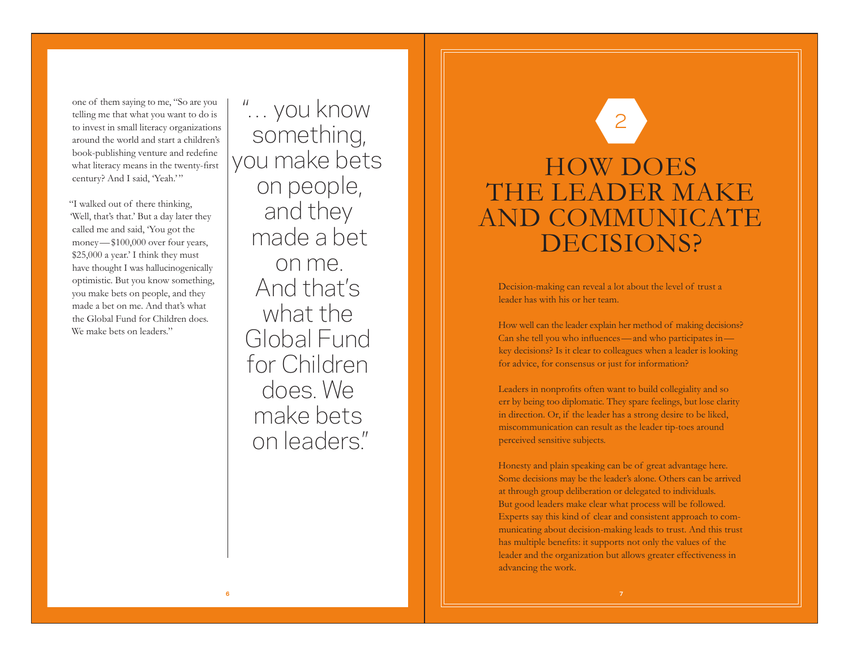one of them saying to me, "So are you telling me that what you want to do is to invest in small literacy organizations around the world and start a children's book-publishing venture and redefine what literacy means in the twenty-first century? And I said, 'Yeah.'"

"I walked out of there thinking, 'Well, that's that.' But a day later they called me and said, 'You got the money —\$100,000 over four years, \$25,000 a year.' I think they must have thought I was hallucinogenically optimistic. But you know something, you make bets on people, and they made a bet on me. And that's what the Global Fund for Children does. We make bets on leaders."

"… you know something, you make bets on people, and they made a bet on me. And that's what the Global Fund for Children does. We make bets on leaders."

# HOW DOES THE LEADER MAKE AND COMMUNICATE DECISIONS? 2

Decision-making can reveal a lot about the level of trust a leader has with his or her team.

How well can the leader explain her method of making decisions? Can she tell you who influences —and who participates in key decisions? Is it clear to colleagues when a leader is looking for advice, for consensus or just for information?

Leaders in nonprofits often want to build collegiality and so err by being too diplomatic. They spare feelings, but lose clarity in direction. Or, if the leader has a strong desire to be liked, miscommunication can result as the leader tip-toes around perceived sensitive subjects.

Honesty and plain speaking can be of great advantage here. Some decisions may be the leader's alone. Others can be arrived at through group deliberation or delegated to individuals. But good leaders make clear what process will be followed. Experts say this kind of clear and consistent approach to communicating about decision-making leads to trust. And this trust has multiple benefits: it supports not only the values of the leader and the organization but allows greater effectiveness in advancing the work.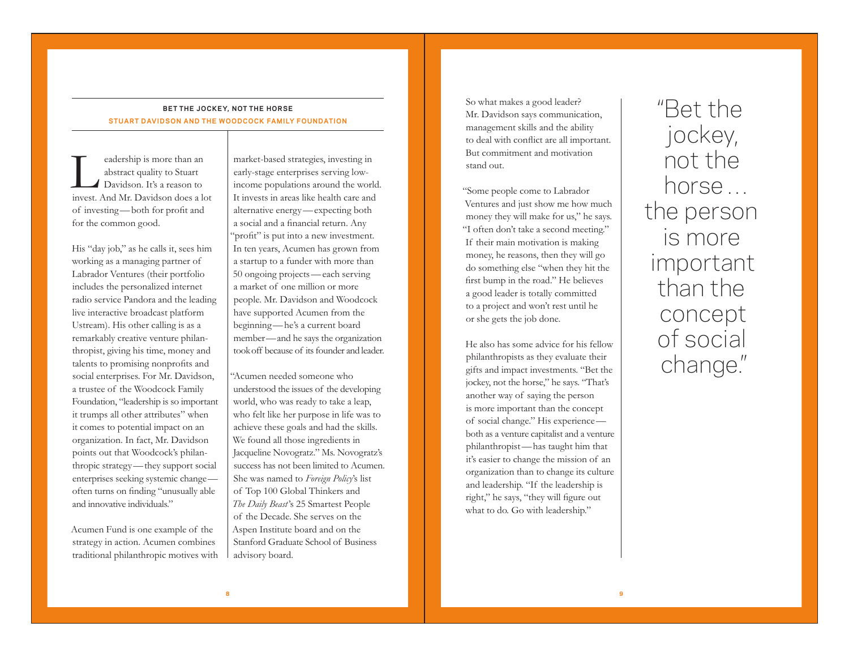## **BET THE JOCKEY, NOT THE HORSE STUART DAVIDSON AND THE WOODCOCK FAMILY FOUNDATION**

Leadership is more than an abstract quality to Stuart Davidson. It's a reason to invest. And Mr. Davidson does a lot of investing —both for profit and for the common good.

His "day job," as he calls it, sees him working as a managing partner of Labrador Ventures (their portfolio includes the personalized internet radio service Pandora and the leading live interactive broadcast platform Ustream). His other calling is as a remarkably creative venture philanthropist, giving his time, money and talents to promising nonprofits and social enterprises. For Mr. Davidson, a trustee of the Woodcock Family Foundation, "leadership is so important it trumps all other attributes" when it comes to potential impact on an organization. In fact, Mr. Davidson points out that Woodcock's philanthropic strategy —they support social enterprises seeking systemic change often turns on finding "unusually able and innovative individuals."

Acumen Fund is one example of the strategy in action. Acumen combines traditional philanthropic motives with

market-based strategies, investing in early-stage enterprises serving lowincome populations around the world. It invests in areas like health care and alternative energy —expecting both a social and a financial return. Any "profit" is put into a new investment. In ten years, Acumen has grown from a startup to a funder with more than 50 ongoing projects —each serving a market of one million or more people. Mr. Davidson and Woodcock have supported Acumen from the beginning —he's a current board member —and he says the organization took off because of its founder and leader.

"Acumen needed someone who understood the issues of the developing world, who was ready to take a leap, who felt like her purpose in life was to achieve these goals and had the skills. We found all those ingredients in Jacqueline Novogratz." Ms. Novogratz's success has not been limited to Acumen. She was named to *Foreign Policy*'s list of Top 100 Global Thinkers and *The Daily Beast*'s 25 Smartest People of the Decade. She serves on the Aspen Institute board and on the Stanford Graduate School of Business advisory board.

So what makes a good leader? Mr. Davidson says communication, management skills and the ability to deal with conflict are all important. But commitment and motivation stand out.

"Some people come to Labrador Ventures and just show me how much money they will make for us," he says. "I often don't take a second meeting." If their main motivation is making money, he reasons, then they will go do something else "when they hit the first bump in the road." He believes a good leader is totally committed to a project and won't rest until he or she gets the job done.

He also has some advice for his fellow philanthropists as they evaluate their gifts and impact investments. "Bet the jockey, not the horse," he says. "That's another way of saying the person is more important than the concept of social change." His experience both as a venture capitalist and a venture philanthropist —has taught him that it's easier to change the mission of an organization than to change its culture and leadership. "If the leadership is right," he says, "they will figure out what to do. Go with leadership."

"Bet the jockey, not the horse … the person is more important than the concept of social change."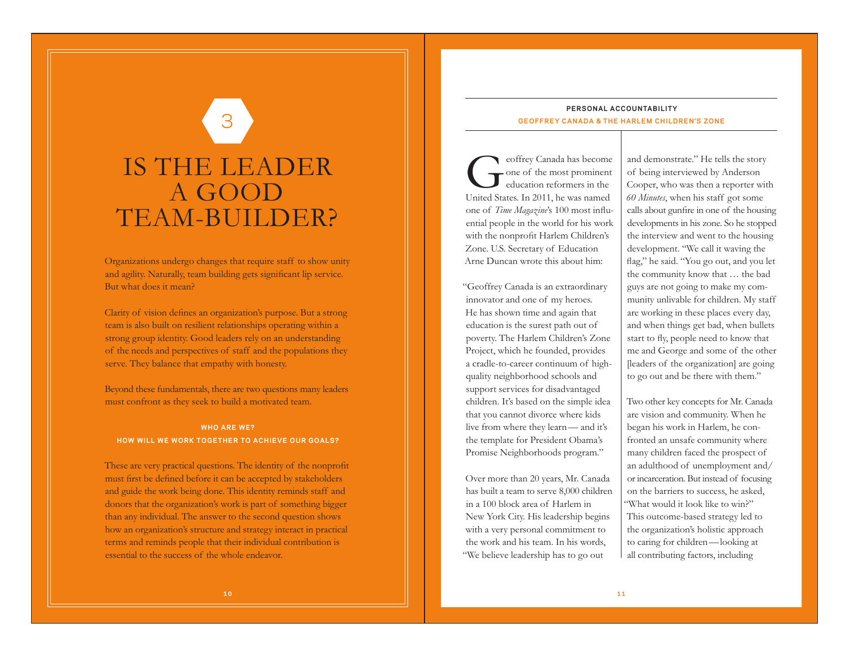# IS THE LEADER A GOOD TEAM-BUILDER?

3

Organizations undergo changes that require staff to show unity and agility. Naturally, team building gets significant lip service. But what does it mean?

Clarity of vision defines an organization's purpose. But a strong team is also built on resilient relationships operating within a strong group identity. Good leaders rely on an understanding of the needs and perspectives of staff and the populations they serve. They balance that empathy with honesty.

Beyond these fundamentals, there are two questions many leaders must confront as they seek to build a motivated team.

### **WHO ARE WE? HOW WILL WE WORK TOGETHER TO ACHIEVE OUR GOALS?**

These are very practical questions. The identity of the nonprofit must first be defined before it can be accepted by stakeholders and guide the work being done. This identity reminds staff and donors that the organization's work is part of something bigger than any individual. The answer to the second question shows how an organization's structure and strategy interact in practical terms and reminds people that their individual contribution is essential to the success of the whole endeavor.

## **PERSONAL ACCOUNTABILITY GEOFFREY CANADA & THE HARLEM CHILDREN'S ZONE**

eoffrey Canada has become<br>one of the most prominent<br>education reformers in the United States. In 2011, he was named one of *Time Magazine*'s 100 most influential people in the world for his work with the nonprofit Harlem Children's Zone. U.S. Secretary of Education Arne Duncan wrote this about him:

"Geoffrey Canada is an extraordinary innovator and one of my heroes. He has shown time and again that education is the surest path out of poverty. The Harlem Children's Zone Project, which he founded, provides a cradle-to-career continuum of highquality neighborhood schools and support services for disadvantaged children. It's based on the simple idea that you cannot divorce where kids live from where they learn— and it's the template for President Obama's Promise Neighborhoods program."

Over more than 20 years, Mr. Canada has built a team to serve 8,000 children in a 100 block area of Harlem in New York City. His leadership begins with a very personal commitment to the work and his team. In his words, "We believe leadership has to go out

and demonstrate." He tells the story of being interviewed by Anderson Cooper, who was then a reporter with *60 Minutes*, when his staff got some calls about gunfire in one of the housing developments in his zone. So he stopped the interview and went to the housing development. "We call it waving the flag," he said. "You go out, and you let the community know that … the bad guys are not going to make my community unlivable for children. My staff are working in these places every day, and when things get bad, when bullets start to fly, people need to know that me and George and some of the other [leaders of the organization] are going to go out and be there with them."

Two other key concepts for Mr. Canada are vision and community. When he began his work in Harlem, he confronted an unsafe community where many children faced the prospect of an adulthood of unemployment and/ or incarceration. But instead of focusing on the barriers to success, he asked, "What would it look like to win?" This outcome-based strategy led to the organization's holistic approach to caring for children—looking at all contributing factors, including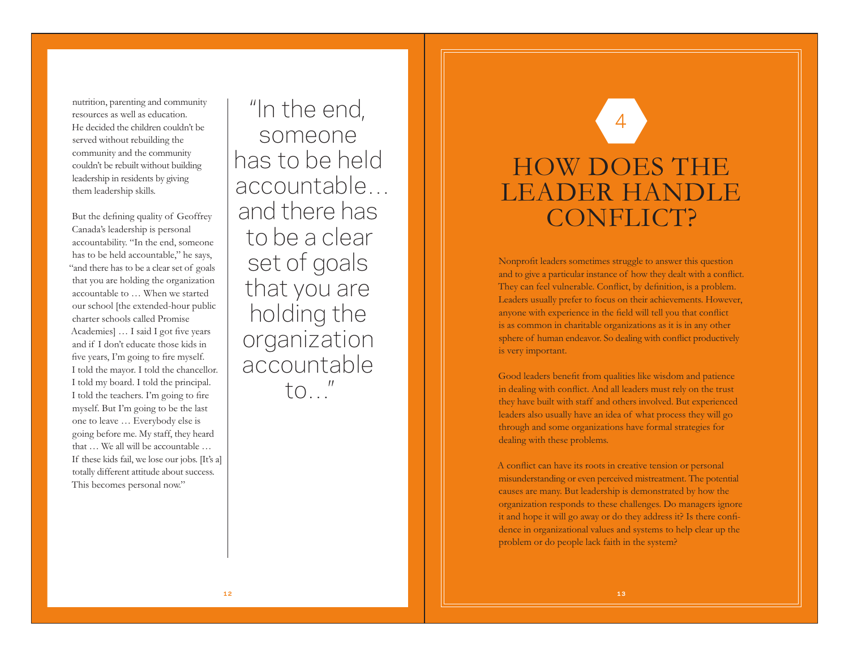nutrition, parenting and community resources as well as education. He decided the children couldn't be served without rebuilding the community and the community couldn't be rebuilt without building leadership in residents by giving them leadership skills.

But the defining quality of Geoffrey Canada's leadership is personal accountability. "In the end, someone has to be held accountable," he says, "and there has to be a clear set of goals that you are holding the organization accountable to … When we started our school [the extended-hour public charter schools called Promise Academies] … I said I got five years and if I don't educate those kids in five years, I'm going to fire myself. I told the mayor. I told the chancellor. I told my board. I told the principal. I told the teachers. I'm going to fire myself. But I'm going to be the last one to leave … Everybody else is going before me. My staff, they heard that … We all will be accountable … If these kids fail, we lose our jobs. [It's a] totally different attitude about success. This becomes personal now."

"In the end, someone has to be held accountable… and there has to be a clear set of goals that you are holding the organization accountable  $t \cap$   $''$ 

# HOW DOES THE LEADER HANDLE CONFLICT? 4

Nonprofit leaders sometimes struggle to answer this question and to give a particular instance of how they dealt with a conflict. They can feel vulnerable. Conflict, by definition, is a problem. Leaders usually prefer to focus on their achievements. However, anyone with experience in the field will tell you that conflict is as common in charitable organizations as it is in any other sphere of human endeavor. So dealing with conflict productively is very important.

Good leaders benefit from qualities like wisdom and patience in dealing with conflict. And all leaders must rely on the trust they have built with staff and others involved. But experienced leaders also usually have an idea of what process they will go through and some organizations have formal strategies for dealing with these problems.

A conflict can have its roots in creative tension or personal misunderstanding or even perceived mistreatment. The potential causes are many. But leadership is demonstrated by how the organization responds to these challenges. Do managers ignore it and hope it will go away or do they address it? Is there confidence in organizational values and systems to help clear up the problem or do people lack faith in the system?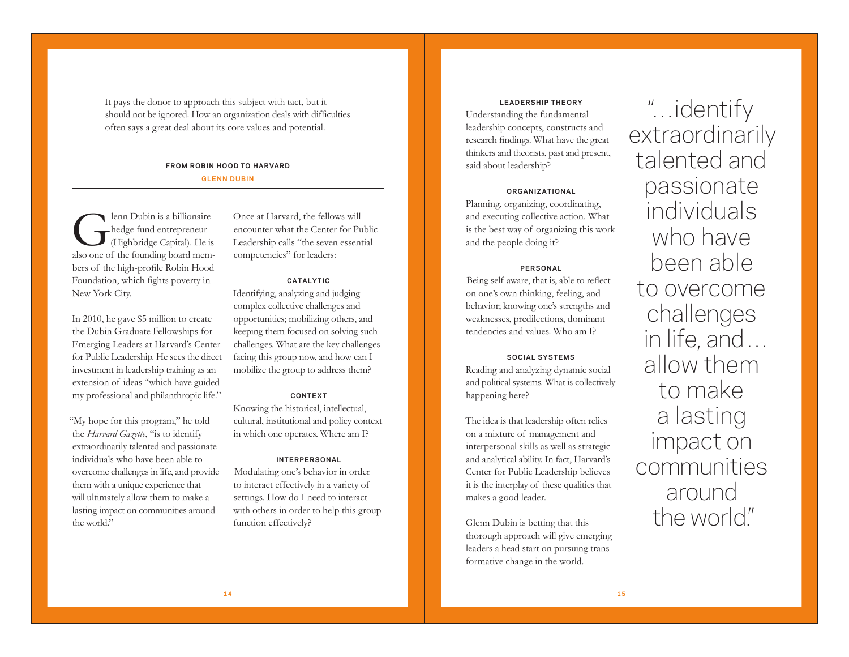It pays the donor to approach this subject with tact, but it should not be ignored. How an organization deals with difficulties often says a great deal about its core values and potential.

# **FROM ROBIN HOOD TO HARVARD**

### **GLENN DUBIN**

Glenn Dubin is a billionaire hedge fund entrepreneur (Highbridge Capital). He is also one of the founding board members of the high-profile Robin Hood Foundation, which fights poverty in New York City.

In 2010, he gave \$5 million to create the Dubin Graduate Fellowships for Emerging Leaders at Harvard's Center for Public Leadership. He sees the direct investment in leadership training as an extension of ideas "which have guided my professional and philanthropic life."

"My hope for this program," he told the *Harvard Gazette*, "is to identify extraordinarily talented and passionate individuals who have been able to overcome challenges in life, and provide them with a unique experience that will ultimately allow them to make a lasting impact on communities around the world."

Once at Harvard, the fellows will encounter what the Center for Public Leadership calls "the seven essential competencies" for leaders:

#### **CATALYTIC**

Identifying, analyzing and judging complex collective challenges and opportunities; mobilizing others, and keeping them focused on solving such challenges. What are the key challenges facing this group now, and how can I mobilize the group to address them?

#### **CONTEXT**

Knowing the historical, intellectual, cultural, institutional and policy context in which one operates. Where am I?

#### **INTERPERSONAL**

Modulating one's behavior in order to interact effectively in a variety of settings. How do I need to interact with others in order to help this group function effectively?

**LEADERSHIP THEORY** Understanding the fundamental leadership concepts, constructs and research findings. What have the great thinkers and theorists, past and present, said about leadership?

#### **ORGANIZATIONAL**

Planning, organizing, coordinating, and executing collective action. What is the best way of organizing this work and the people doing it?

#### **PERSONAL**

Being self-aware, that is, able to reflect on one's own thinking, feeling, and behavior; knowing one's strengths and weaknesses, predilections, dominant tendencies and values. Who am I?

#### **SOCIAL SYSTEMS**

Reading and analyzing dynamic social and political systems. What is collectively happening here?

The idea is that leadership often relies on a mixture of management and interpersonal skills as well as strategic and analytical ability. In fact, Harvard's Center for Public Leadership believes it is the interplay of these qualities that makes a good leader.

Glenn Dubin is betting that this thorough approach will give emerging leaders a head start on pursuing transformative change in the world.

"…identify extraordinarily talented and passionate individuals who have been able to overcome challenges in life, and … allow them to make a lasting impact on communities around the world."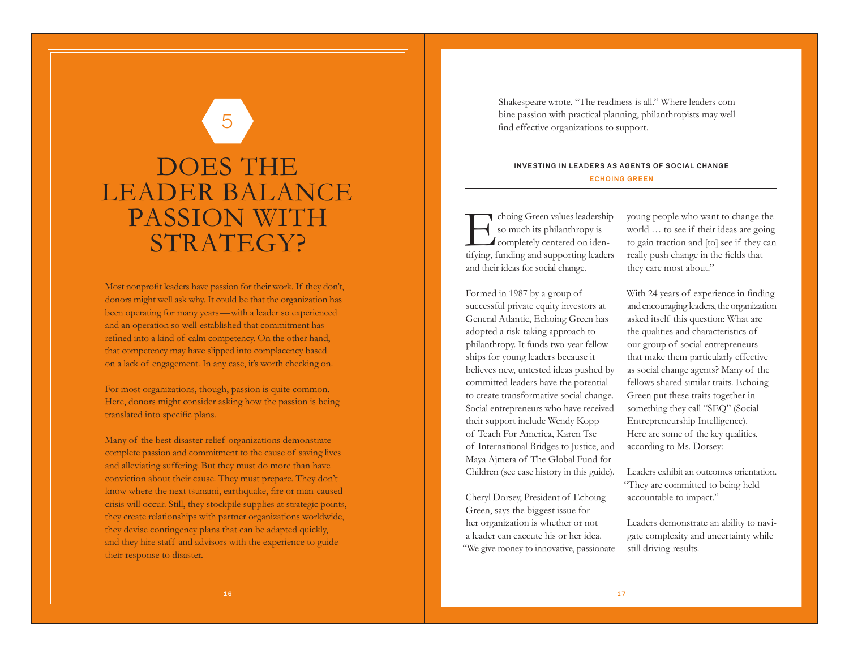# DOES THE LEADER BALANCE PASSION WITH STRATEGY?

5

Most nonprofit leaders have passion for their work. If they don't, donors might well ask why. It could be that the organization has been operating for many years —with a leader so experienced and an operation so well-established that commitment has refined into a kind of calm competency. On the other hand, that competency may have slipped into complacency based on a lack of engagement. In any case, it's worth checking on.

For most organizations, though, passion is quite common. Here, donors might consider asking how the passion is being translated into specific plans.

Many of the best disaster relief organizations demonstrate complete passion and commitment to the cause of saving lives and alleviating suffering. But they must do more than have conviction about their cause. They must prepare. They don't know where the next tsunami, earthquake, fire or man-caused crisis will occur. Still, they stockpile supplies at strategic points, they create relationships with partner organizations worldwide, they devise contingency plans that can be adapted quickly, and they hire staff and advisors with the experience to guide their response to disaster.

Shakespeare wrote, "The readiness is all." Where leaders combine passion with practical planning, philanthropists may well find effective organizations to support.

### **INVESTING IN LEADERS AS AGENTS OF SOCIAL CHANGE ECHOING GREEN**

Echoing Green values leadership so much its philanthropy is completely centered on identifying, funding and supporting leaders and their ideas for social change.

Formed in 1987 by a group of successful private equity investors at General Atlantic, Echoing Green has adopted a risk-taking approach to philanthropy. It funds two-year fellowships for young leaders because it believes new, untested ideas pushed by committed leaders have the potential to create transformative social change. Social entrepreneurs who have received their support include Wendy Kopp of Teach For America, Karen Tse of International Bridges to Justice, and Maya Ajmera of The Global Fund for Children (see case history in this guide).

Cheryl Dorsey, President of Echoing Green, says the biggest issue for her organization is whether or not a leader can execute his or her idea. "We give money to innovative, passionate young people who want to change the world … to see if their ideas are going to gain traction and [to] see if they can really push change in the fields that they care most about."

With 24 years of experience in finding and encouraging leaders, the organization asked itself this question: What are the qualities and characteristics of our group of social entrepreneurs that make them particularly effective as social change agents? Many of the fellows shared similar traits. Echoing Green put these traits together in something they call "SEQ" (Social Entrepreneurship Intelligence). Here are some of the key qualities, according to Ms. Dorsey:

Leaders exhibit an outcomes orientation. "They are committed to being held accountable to impact."

Leaders demonstrate an ability to navigate complexity and uncertainty while still driving results.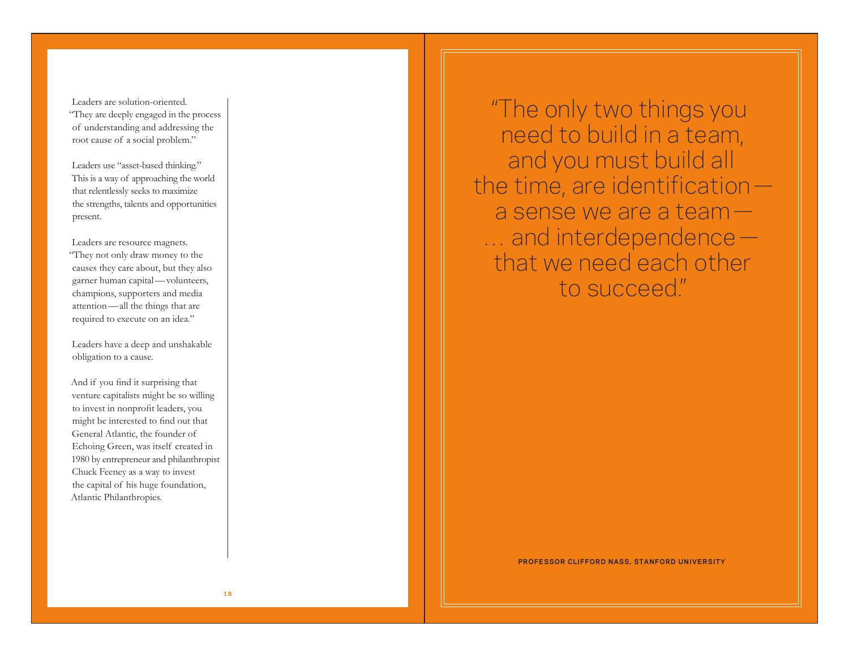Leaders are solution-oriented. "They are deeply engaged in the process of understanding and addressing the root cause of a social problem."

Leaders use "asset-based thinking." This is a way of approaching the world that relentlessly seeks to maximize the strengths, talents and opportunities present.

Leaders are resource magnets. "They not only draw money to the causes they care about, but they also garner human capital —volunteers, champions, supporters and media attention —all the things that are required to execute on an idea."

Leaders have a deep and unshakable obligation to a cause.

And if you find it surprising that venture capitalists might be so willing to invest in nonprofit leaders, you might be interested to find out that General Atlantic, the founder of Echoing Green, was itself created in 1980 by entrepreneur and philanthropist Chuck Feeney as a way to invest the capital of his huge foundation, Atlantic Philanthropies.

"The only two things you need to build in a team, and you must build all the time, are identification a sense we are a team — … and interdependence that we need each other to succeed."

**PROFESSOR CLIFFORD NASS, STANFORD UNIVERSITY**